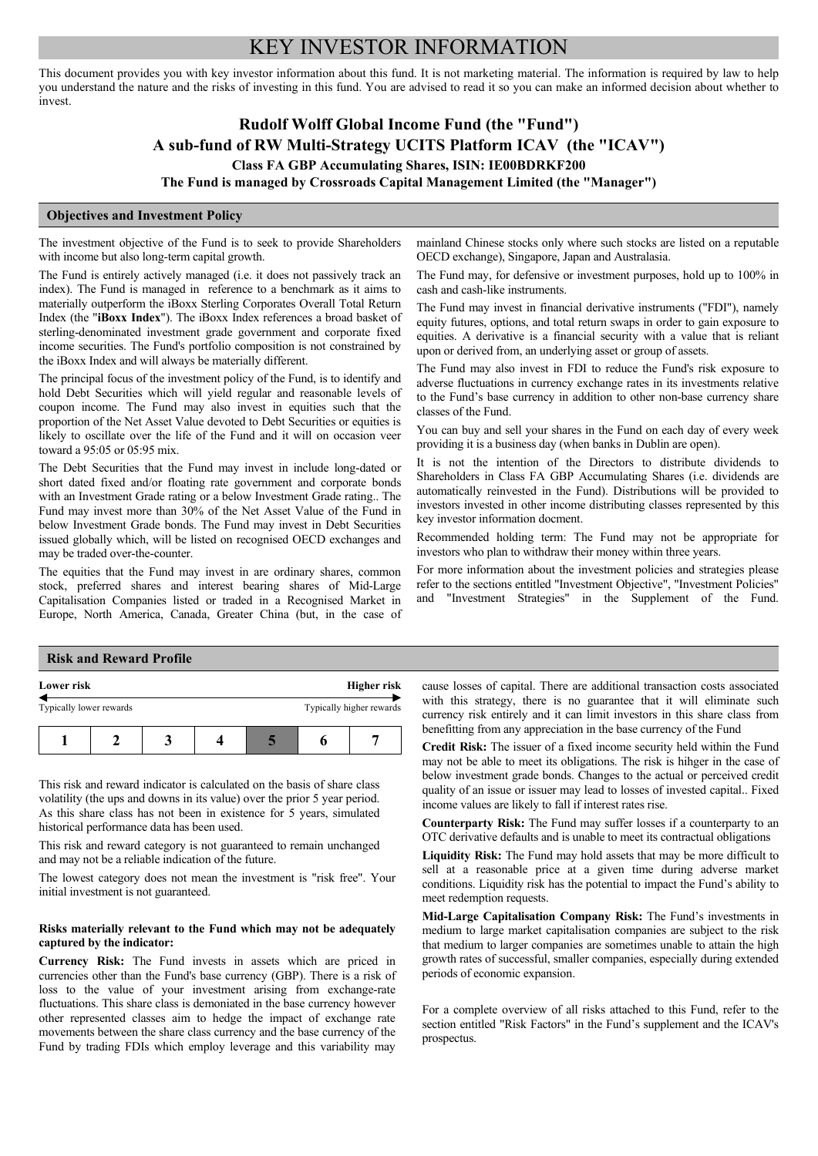# KEY INVESTOR INFORMATION

This document provides you with key investor information about this fund. It is not marketing material. The information is required by law to help you understand the nature and the risks of investing in this fund. You are advised to read it so you can make an informed decision about whether to invest.

## **Rudolf Wolff Global Income Fund (the "Fund") A sub-fund of RW Multi-Strategy UCITS Platform ICAV (the "ICAV") Class FA GBP Accumulating Shares, ISIN: IE00BDRKF200**

**The Fund is managed by Crossroads Capital Management Limited (the "Manager")**

#### **Objectives and Investment Policy**

The investment objective of the Fund is to seek to provide Shareholders with income but also long-term capital growth.

The Fund is entirely actively managed (i.e. it does not passively track an index). The Fund is managed in reference to a benchmark as it aims to materially outperform the iBoxx Sterling Corporates Overall Total Return Index (the "**iBoxx Index**"). The iBoxx Index references a broad basket of sterling-denominated investment grade government and corporate fixed income securities. The Fund's portfolio composition is not constrained by the iBoxx Index and will always be materially different.

The principal focus of the investment policy of the Fund, is to identify and hold Debt Securities which will yield regular and reasonable levels of coupon income. The Fund may also invest in equities such that the proportion of the Net Asset Value devoted to Debt Securities or equities is likely to oscillate over the life of the Fund and it will on occasion veer toward a 95:05 or 05:95 mix.

The Debt Securities that the Fund may invest in include long-dated or short dated fixed and/or floating rate government and corporate bonds with an Investment Grade rating or a below Investment Grade rating.. The Fund may invest more than 30% of the Net Asset Value of the Fund in below Investment Grade bonds. The Fund may invest in Debt Securities issued globally which, will be listed on recognised OECD exchanges and may be traded over-the-counter.

The equities that the Fund may invest in are ordinary shares, common stock, preferred shares and interest bearing shares of Mid-Large Capitalisation Companies listed or traded in a Recognised Market in Europe, North America, Canada, Greater China (but, in the case of mainland Chinese stocks only where such stocks are listed on a reputable OECD exchange), Singapore, Japan and Australasia.

The Fund may, for defensive or investment purposes, hold up to 100% in cash and cash-like instruments.

The Fund may invest in financial derivative instruments ("FDI"), namely equity futures, options, and total return swaps in order to gain exposure to equities. A derivative is a financial security with a value that is reliant upon or derived from, an underlying asset or group of assets.

The Fund may also invest in FDI to reduce the Fund's risk exposure to adverse fluctuations in currency exchange rates in its investments relative to the Fund's base currency in addition to other non-base currency share classes of the Fund.

You can buy and sell your shares in the Fund on each day of every week providing it is a business day (when banks in Dublin are open).

It is not the intention of the Directors to distribute dividends to Shareholders in Class FA GBP Accumulating Shares (i.e. dividends are automatically reinvested in the Fund). Distributions will be provided to investors invested in other income distributing classes represented by this key investor information docment.

Recommended holding term: The Fund may not be appropriate for investors who plan to withdraw their money within three years.

For more information about the investment policies and strategies please refer to the sections entitled "Investment Objective", "Investment Policies" and "Investment Strategies" in the Supplement of the Fund.

## **Risk and Reward Profile**

| Lower risk              |  | Higher risk |  |  |                          |
|-------------------------|--|-------------|--|--|--------------------------|
| Typically lower rewards |  |             |  |  | Typically higher rewards |
|                         |  |             |  |  |                          |

This risk and reward indicator is calculated on the basis of share class volatility (the ups and downs in its value) over the prior 5 year period. As this share class has not been in existence for 5 years, simulated historical performance data has been used.

This risk and reward category is not guaranteed to remain unchanged and may not be a reliable indication of the future.

The lowest category does not mean the investment is "risk free". Your initial investment is not guaranteed.

#### **Risks materially relevant to the Fund which may not be adequately captured by the indicator:**

**Currency Risk:** The Fund invests in assets which are priced in currencies other than the Fund's base currency (GBP). There is a risk of loss to the value of your investment arising from exchange-rate fluctuations. This share class is demoniated in the base currency however other represented classes aim to hedge the impact of exchange rate movements between the share class currency and the base currency of the Fund by trading FDIs which employ leverage and this variability may

cause losses of capital. There are additional transaction costs associated with this strategy, there is no guarantee that it will eliminate such currency risk entirely and it can limit investors in this share class from benefitting from any appreciation in the base currency of the Fund

**Credit Risk:** The issuer of a fixed income security held within the Fund may not be able to meet its obligations. The risk is hihger in the case of below investment grade bonds. Changes to the actual or perceived credit quality of an issue or issuer may lead to losses of invested capital.. Fixed income values are likely to fall if interest rates rise.

**Counterparty Risk:** The Fund may suffer losses if a counterparty to an OTC derivative defaults and is unable to meet its contractual obligations

**Liquidity Risk:** The Fund may hold assets that may be more difficult to sell at a reasonable price at a given time during adverse market conditions. Liquidity risk has the potential to impact the Fund's ability to meet redemption requests.

**Mid-Large Capitalisation Company Risk:** The Fund's investments in medium to large market capitalisation companies are subject to the risk that medium to larger companies are sometimes unable to attain the high growth rates of successful, smaller companies, especially during extended periods of economic expansion.

For a complete overview of all risks attached to this Fund, refer to the section entitled "Risk Factors" in the Fund's supplement and the ICAV's prospectus.